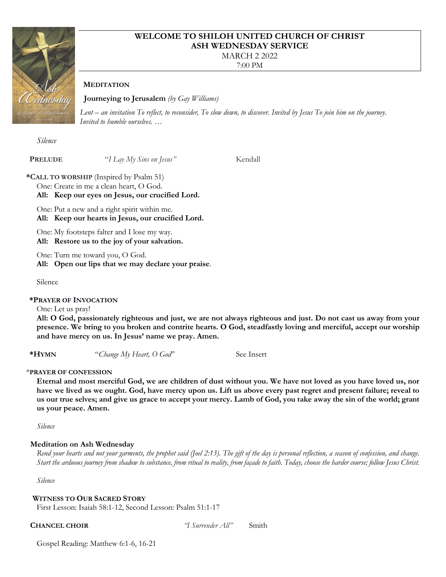## **WELCOME TO SHILOH UNITED CHURCH OF CHRIST ASH WEDNESDAY SERVICE**

MARCH 2 2022

7:00 PM

#### **MEDITATION**

 **Journeying to Jerusalem** *(by Gay Williams)*

*Lent – an invitation To reflect, to reconsider, To slow down, to discover. Invited by Jesus To join him on the journey. Invited to humble ourselves. …*

*Silence*

**PRELUDE** "*I Lay My Sins on Jesus*" Kendall

**\*CALL TO WORSHIP** (Inspired by Psalm 51) One: Create in me a clean heart, O God.

**All: Keep our eyes on Jesus, our crucified Lord.** 

One: Put a new and a right spirit within me. **All: Keep our hearts in Jesus, our crucified Lord.** 

One: My footsteps falter and I lose my way. **All: Restore us to the joy of your salvation.** 

One: Turn me toward you, O God. **All: Open our lips that we may declare your praise**.

Silence

#### **\*PRAYER OF INVOCATION**

One: Let us pray!

**All: O God, passionately righteous and just, we are not always righteous and just. Do not cast us away from your presence. We bring to you broken and contrite hearts. O God, steadfastly loving and merciful, accept our worship and have mercy on us. In Jesus' name we pray. Amen.**

**\*HYMN** "*Change My Heart, O God*" See Insert

#### \***PRAYER OF CONFESSION**

**Eternal and most merciful God, we are children of dust without you. We have not loved as you have loved us, nor have we lived as we ought. God, have mercy upon us. Lift us above every past regret and present failure; reveal to us our true selves; and give us grace to accept your mercy. Lamb of God, you take away the sin of the world; grant us your peace. Amen.** 

*Silence*

#### **Meditation on Ash Wednesday**

*Rend your hearts and not your garments, the prophet said (Joel 2:13). The gift of the day is personal reflection, a season of confession, and change. Start the arduous journey from shadow to substance, from ritual to reality, from façade to faith. Today, choose the harder course; follow Jesus Christ.* 

*Silence*

## **WITNESS TO OUR SACRED STORY**

First Lesson: Isaiah 58:1-12, Second Lesson: Psalm 51:1-17

 **CHANCEL CHOIR** *"I Surrender All"* Smith

Gospel Reading: Matthew 6:1-6, 16-21

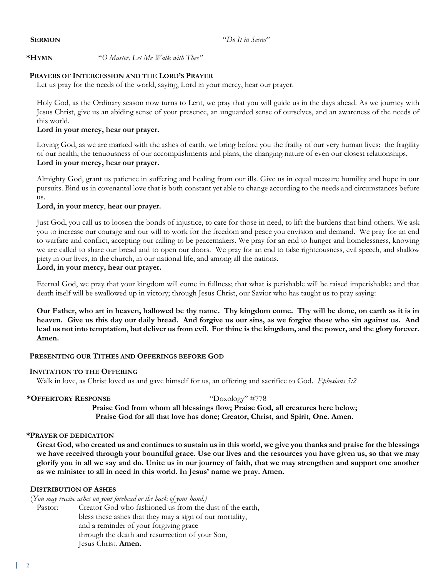**SERMON** "*Do It in Secret*"

#### **\*HYMN** "*O Master, Let Me Walk with Thee"*

## **PRAYERS OF INTERCESSION AND THE LORD'S PRAYER**

Let us pray for the needs of the world, saying, Lord in your mercy, hear our prayer.

Holy God, as the Ordinary season now turns to Lent, we pray that you will guide us in the days ahead. As we journey with Jesus Christ, give us an abiding sense of your presence, an unguarded sense of ourselves, and an awareness of the needs of this world.

## **Lord in your mercy, hear our prayer.**

Loving God, as we are marked with the ashes of earth, we bring before you the frailty of our very human lives: the fragility of our health, the tenuousness of our accomplishments and plans, the changing nature of even our closest relationships. **Lord in your mercy, hear our prayer.**

Almighty God, grant us patience in suffering and healing from our ills. Give us in equal measure humility and hope in our pursuits. Bind us in covenantal love that is both constant yet able to change according to the needs and circumstances before us.

## **Lord, in your mercy**, **hear our prayer.**

Just God, you call us to loosen the bonds of injustice, to care for those in need, to lift the burdens that bind others. We ask you to increase our courage and our will to work for the freedom and peace you envision and demand. We pray for an end to warfare and conflict, accepting our calling to be peacemakers. We pray for an end to hunger and homelessness, knowing we are called to share our bread and to open our doors. We pray for an end to false righteousness, evil speech, and shallow piety in our lives, in the church, in our national life, and among all the nations.

## **Lord, in your mercy, hear our prayer.**

Eternal God, we pray that your kingdom will come in fullness; that what is perishable will be raised imperishable; and that death itself will be swallowed up in victory; through Jesus Christ, our Savior who has taught us to pray saying:

**Our Father, who art in heaven, hallowed be thy name. Thy kingdom come. Thy will be done, on earth as it is in heaven. Give us this day our daily bread. And forgive us our sins, as we forgive those who sin against us. And lead us not into temptation, but deliver us from evil. For thine is the kingdom, and the power, and the glory forever. Amen.**

## **PRESENTING OUR TITHES AND OFFERINGS BEFORE GOD**

## **INVITATION TO THE OFFERING**

Walk in love, as Christ loved us and gave himself for us, an offering and sacrifice to God. *Ephesians 5:2*

## **\*OFFERTORY RESPONSE** "Doxology" #778

**Praise God from whom all blessings flow; Praise God, all creatures here below; Praise God for all that love has done; Creator, Christ, and Spirit, One. Amen.**

#### **\*PRAYER OF DEDICATION**

**Great God, who created us and continues to sustain us in this world, we give you thanks and praise for the blessings we have received through your bountiful grace. Use our lives and the resources you have given us, so that we may glorify you in all we say and do. Unite us in our journey of faith, that we may strengthen and support one another as we minister to all in need in this world. In Jesus' name we pray. Amen.**

#### **DISTRIBUTION OF ASHES**

(*You may receive ashes on your forehead or the back of your hand.)*

Pastor: Creator God who fashioned us from the dust of the earth, bless these ashes that they may a sign of our mortality, and a reminder of your forgiving grace through the death and resurrection of your Son, Jesus Christ. **Amen.**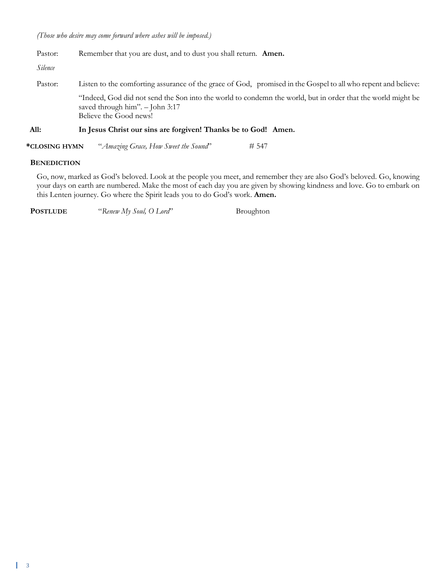*(Those who desire may come forward where ashes will be imposed.)*

Pastor: Remember that you are dust, and to dust you shall return. **Amen.**

*Silence*

Pastor: Listen to the comforting assurance of the grace of God, promised in the Gospel to all who repent and believe:

"Indeed, God did not send the Son into the world to condemn the world, but in order that the world might be saved through him". – John 3:17 Believe the Good news!

#### **All: In Jesus Christ our sins are forgiven! Thanks be to God! Amen.**

**\*CLOSING HYMN** "*Amazing Grace, How Sweet the Sound*" # 547

#### **BENEDICTION**

Go, now, marked as God's beloved. Look at the people you meet, and remember they are also God's beloved. Go, knowing your days on earth are numbered. Make the most of each day you are given by showing kindness and love. Go to embark on this Lenten journey. Go where the Spirit leads you to do God's work. **Amen.**

**POSTLUDE** "*Renew My Soul, O Lord*" Broughton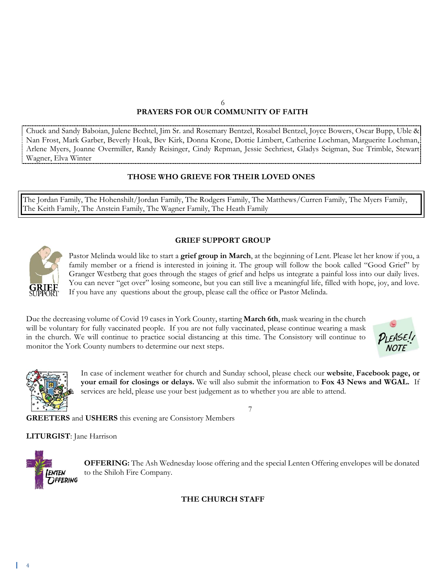#### 6 **PRAYERS FOR OUR COMMUNITY OF FAITH**

Chuck and Sandy Baboian, Julene Bechtel, Jim Sr. and Rosemary Bentzel, Rosabel Bentzel, Joyce Bowers, Oscar Bupp, Uble & Nan Frost, Mark Garber, Beverly Hoak, Bev Kirk, Donna Krone, Dottie Limbert, Catherine Lochman, Marguerite Lochman, Arlene Myers, Joanne Overmiller, Randy Reisinger, Cindy Repman, Jessie Sechriest, Gladys Seigman, Sue Trimble, Stewart Wagner, Elva Winter

## **THOSE WHO GRIEVE FOR THEIR LOVED ONES**

The Jordan Family, The Hohenshilt/Jordan Family, The Rodgers Family, The Matthews/Curren Family, The Myers Family, The Keith Family, The Anstein Family, The Wagner Family, The Heath Family

## **GRIEF SUPPORT GROUP**



Pastor Melinda would like to start a **grief group in March**, at the beginning of Lent. Please let her know if you, a family member or a friend is interested in joining it. The group will follow the book called "Good Grief" by Granger Westberg that goes through the stages of grief and helps us integrate a painful loss into our daily lives. You can never "get over" losing someone, but you can still live a meaningful life, filled with hope, joy, and love. If you have any questions about the group, please call the office or Pastor Melinda.

Due the decreasing volume of Covid 19 cases in York County, starting **March 6th**, mask wearing in the church will be voluntary for fully vaccinated people. If you are not fully vaccinated, please continue wearing a mask in the church. We will continue to practice social distancing at this time. The Consistory will continue to monitor the York County numbers to determine our next steps.





In case of inclement weather for church and Sunday school, please check our **website**, **Facebook page, or your email for closings or delays.** We will also submit the information to **Fox 43 News and WGAL.** If services are held, please use your best judgement as to whether you are able to attend.

7

**GREETERS** and **USHERS** this evening are Consistory Members

#### **LITURGIST**: Jane Harrison



**OFFERING:** The Ash Wednesday loose offering and the special Lenten Offering envelopes will be donated to the Shiloh Fire Company.

**THE CHURCH STAFF**